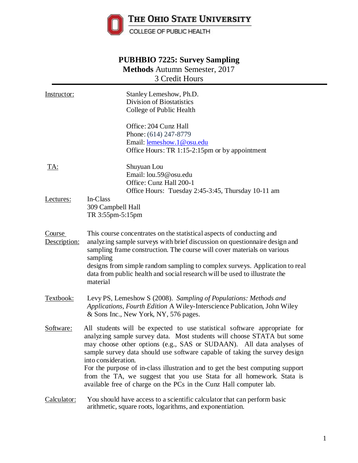

# **PUBHBIO 7225: Survey Sampling Methods** Autumn Semester, 2017 3 Credit Hours

| Instructor:            | Stanley Lemeshow, Ph.D.<br>Division of Biostatistics<br>College of Public Health                                                                                                                                                                                                                                                                                                                                                                                                                                                                                  |  |  |  |  |
|------------------------|-------------------------------------------------------------------------------------------------------------------------------------------------------------------------------------------------------------------------------------------------------------------------------------------------------------------------------------------------------------------------------------------------------------------------------------------------------------------------------------------------------------------------------------------------------------------|--|--|--|--|
|                        | Office: 204 Cunz Hall<br>Phone: (614) 247-8779<br>Email: lemeshow.1@osu.edu<br>Office Hours: TR 1:15-2:15pm or by appointment                                                                                                                                                                                                                                                                                                                                                                                                                                     |  |  |  |  |
| <u>TA:</u>             | Shuyuan Lou<br>Email: lou.59@osu.edu<br>Office: Cunz Hall 200-1<br>Office Hours: Tuesday 2:45-3:45, Thursday 10-11 am                                                                                                                                                                                                                                                                                                                                                                                                                                             |  |  |  |  |
| Lectures:              | In-Class<br>309 Campbell Hall<br>TR 3:55pm-5:15pm                                                                                                                                                                                                                                                                                                                                                                                                                                                                                                                 |  |  |  |  |
| Course<br>Description: | This course concentrates on the statistical aspects of conducting and<br>analyzing sample surveys with brief discussion on questionnaire design and<br>sampling frame construction. The course will cover materials on various<br>sampling<br>designs from simple random sampling to complex surveys. Application to real<br>data from public health and social research will be used to illustrate the<br>material                                                                                                                                               |  |  |  |  |
| Textbook:              | Levy PS, Lemeshow S (2008). Sampling of Populations: Methods and<br>Applications, Fourth Edition A Wiley-Interscience Publication, John Wiley<br>& Sons Inc., New York, NY, 576 pages.                                                                                                                                                                                                                                                                                                                                                                            |  |  |  |  |
| Software:              | All students will be expected to use statistical software appropriate for<br>analyzing sample survey data. Most students will choose STATA but some<br>may choose other options (e.g., SAS or SUDAAN). All data analyses of<br>sample survey data should use software capable of taking the survey design<br>into consideration.<br>For the purpose of in-class illustration and to get the best computing support<br>from the TA, we suggest that you use Stata for all homework. Stata is<br>available free of charge on the PCs in the Cunz Hall computer lab. |  |  |  |  |
| Calculator:            | You should have access to a scientific calculator that can perform basic<br>arithmetic, square roots, logarithms, and exponentiation.                                                                                                                                                                                                                                                                                                                                                                                                                             |  |  |  |  |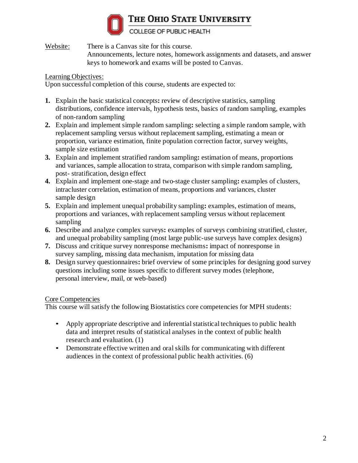

THE OHIO STATE UNIVERSITY

COLLEGE OF PUBLIC HEALTH

Website: There is a Canvas site for this course.

Announcements, lecture notes, homework assignments and datasets, and answer keys to homework and exams will be posted to Canvas.

### Learning Objectives:

Upon successful completion of this course, students are expected to:

- **1.** Explain the basic statistical concepts**:** review of descriptive statistics, sampling distributions, confidence intervals, hypothesis tests, basics of random sampling, examples of non-random sampling
- **2.** Explain and implement simple random sampling**:** selecting a simple random sample, with replacement sampling versus without replacement sampling, estimating a mean or proportion, variance estimation, finite population correction factor, survey weights, sample size estimation
- **3.** Explain and implement stratified random sampling**:** estimation of means, proportions and variances, sample allocation to strata, comparison with simple random sampling, post- stratification, design effect
- **4.** Explain and implement one-stage and two-stage cluster sampling**:** examples of clusters, intracluster correlation, estimation of means, proportions and variances, cluster sample design
- **5.** Explain and implement unequal probability sampling**:** examples, estimation of means, proportions and variances, with replacement sampling versus without replacement sampling
- **6.** Describe and analyze complex surveys**:** examples of surveys combining stratified, cluster, and unequal probability sampling (most large public-use surveys have complex designs)
- **7.** Discuss and critique survey nonresponse mechanisms**:** impact of nonresponse in survey sampling, missing data mechanism, imputation for missing data
- **8.** Design survey questionnaires**:** brief overview of some principles for designing good survey questions including some issues specific to different survey modes (telephone, personal interview, mail, or web-based)

## Core Competencies

This course will satisfy the following Biostatistics core competencies for MPH students:

- Apply appropriate descriptive and inferential statistical techniques to public health data and interpret results of statistical analyses in the context of public health research and evaluation. (1)
- Demonstrate effective written and oralskills for communicating with different audiences in the context of professional public health activities. (6)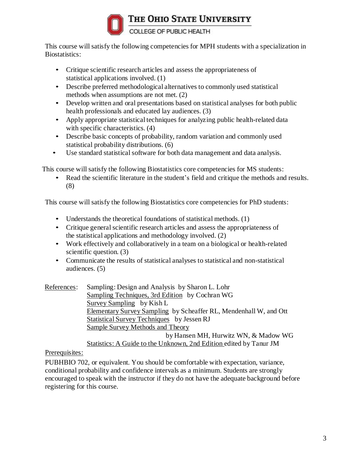

COLLEGE OF PUBLIC HEALTH

This course will satisfy the following competencies for MPH students with a specialization in Biostatistics:

- Critique scientific research articles and assess the appropriateness of statistical applications involved. (1)
- Describe preferred methodological alternatives to commonly used statistical methods when assumptions are not met. (2)
- Develop written and oral presentations based on statistical analyses for both public health professionals and educated lay audiences. (3)
- Apply appropriate statistical techniques for analyzing public health-related data with specific characteristics.  $(4)$
- Describe basic concepts of probability, random variation and commonly used statistical probability distributions. (6)
- Use standard statistical software for both data management and data analysis.

This course will satisfy the following Biostatistics core competencies for MS students:

• Read the scientific literature in the student's field and critique the methods and results. (8)

This course will satisfy the following Biostatistics core competencies for PhD students:

- Understands the theoretical foundations of statistical methods. (1)
- Critique general scientific research articles and assess the appropriateness of the statistical applications and methodology involved. (2)
- Work effectively and collaboratively in a team on a biological or health-related scientific question. (3)
- Communicate the results of statistical analyses to statistical and non-statistical audiences. (5)

 References: Sampling: Design and Analysis by Sharon L. Lohr Sampling Techniques, 3rd Edition by Cochran WG Survey Sampling by Kish L Elementary Survey Sampling by Scheaffer RL, Mendenhall W, and Ott Statistical Survey Techniques by Jessen RJ Sample Survey Methods and Theory by Hansen MH, Hurwitz WN, & Madow WG Statistics: A Guide to the Unknown, 2nd Edition edited by Tanur JM

## Prerequisites:

PUBHBIO 702, or equivalent. You should be comfortable with expectation, variance, conditional probability and confidence intervals as a minimum. Students are strongly encouraged to speak with the instructor if they do not have the adequate background before registering for this course.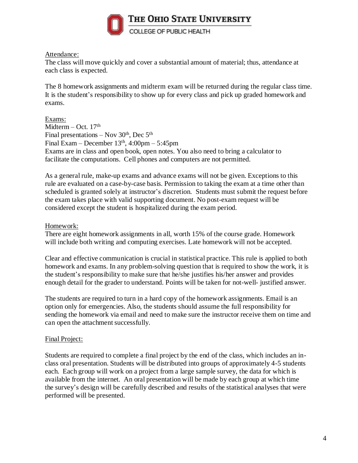

#### Attendance:

The class will move quickly and cover a substantial amount of material; thus, attendance at each class is expected.

The 8 homework assignments and midterm exam will be returned during the regular class time. It is the student's responsibility to show up for every class and pick up graded homework and exams.

Exams: Midterm – Oct. 17<sup>th</sup> Final presentations  $-$  Nov 30<sup>th</sup>, Dec 5<sup>th</sup> Final Exam – December  $13<sup>th</sup>$ ,  $4:00<sub>pm</sub> - 5:45<sub>pm</sub>$ Exams are in class and open book, open notes. You also need to bring a calculator to facilitate the computations. Cell phones and computers are not permitted.

As a general rule, make-up exams and advance exams will not be given. Exceptions to this rule are evaluated on a case-by-case basis. Permission to taking the exam at a time other than scheduled is granted solely at instructor's discretion. Students must submit the request before the exam takes place with valid supporting document. No post-exam request will be considered except the student is hospitalized during the exam period.

#### Homework:

There are eight homework assignments in all, worth 15% of the course grade. Homework will include both writing and computing exercises. Late homework will not be accepted.

Clear and effective communication is crucial in statistical practice. This rule is applied to both homework and exams. In any problem-solving question that is required to show the work, it is the student's responsibility to make sure that he/she justifies his/her answer and provides enough detail for the grader to understand. Points will be taken for not-well- justified answer.

The students are required to turn in a hard copy of the homework assignments. Email is an option only for emergencies. Also, the students should assume the full responsibility for sending the homework via email and need to make sure the instructor receive them on time and can open the attachment successfully.

### Final Project:

Students are required to complete a final project by the end of the class, which includes an inclass oral presentation. Students will be distributed into groups of approximately 4-5 students each. Each group will work on a project from a large sample survey, the data for which is available from the internet. An oral presentation will be made by each group at which time the survey's design will be carefully described and results of the statistical analyses that were performed will be presented.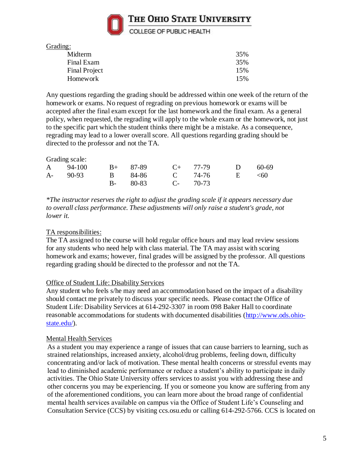

Grading:

| 35% |
|-----|
| 35% |
| 15% |
| 15% |
|     |

Any questions regarding the grading should be addressed within one week of the return of the homework or exams. No request of regrading on previous homework or exams will be accepted after the final exam except for the last homework and the final exam. As a general policy, when requested, the regrading will apply to the whole exam or the homework, not just to the specific part which the student thinks there might be a mistake. As a consequence, regrading may lead to a lower overall score. All questions regarding grading should be directed to the professor and not the TA.

#### Grading scale:

| A 94-100 B+ 87-89 C+ 77-79 D 60-69 |                   |  |  |
|------------------------------------|-------------------|--|--|
| A- 90-93 B 84-86 C 74-76 E <60     |                   |  |  |
|                                    | B- 80-83 C- 70-73 |  |  |

*\*The instructor reserves the right to adjust the grading scale if it appears necessary due to overall class performance. These adjustments will only raise a student's grade, not lower it.*

### TA responsibilities:

The TA assigned to the course will hold regular office hours and may lead review sessions for any students who need help with class material. The TA may assist with scoring homework and exams; however, final grades will be assigned by the professor. All questions regarding grading should be directed to the professor and not the TA.

#### Office of Student Life: Disability Services

Any student who feels s/he may need an accommodation based on the impact of a disability should contact me privately to discuss your specific needs. Please contact the Office of Student Life: Disability Services at 614-292-3307 in room 098 Baker Hall to coordinate reasonable accommodations for students with documented disabilities [\(http://www.ods.ohio](http://www.ods.ohio-state.edu/)[state.edu/\)](http://www.ods.ohio-state.edu/).

#### Mental Health Services

As a student you may experience a range of issues that can cause barriers to learning, such as strained relationships, increased anxiety, alcohol/drug problems, feeling down, difficulty concentrating and/or lack of motivation. These mental health concerns or stressful events may lead to diminished academic performance or reduce a student's ability to participate in daily activities. The Ohio State University offers services to assist you with addressing these and other concerns you may be experiencing. If you or someone you know are suffering from any of the aforementioned conditions, you can learn more about the broad range of confidential mental health services available on campus via the Office of Student Life's Counseling and Consultation Service (CCS) by visiting ccs.osu.edu or calling 614-292-5766. CCS is located on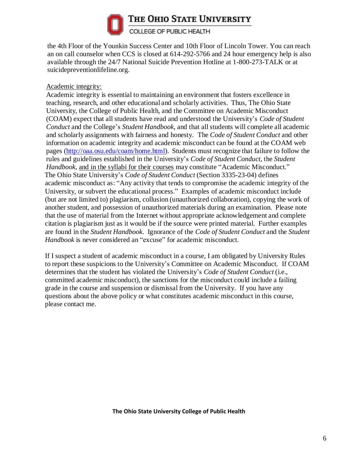

THE OHIO STATE UNIVERSITY

COLLEGE OF PUBLIC HEALTH

the 4th Floor of the Younkin Success Center and 10th Floor of Lincoln Tower. You can reach an on call counselor when CCS is closed at 614-292-5766 and 24 hour emergency help is also available through the 24/7 National Suicide Prevention Hotline at 1-800-273-TALK or at suicidepreventionlifeline.org.

### Academic integrity:

Academic integrity is essential to maintaining an environment that fosters excellence in teaching, research, and other educational and scholarly activities. Thus, The Ohio State University, the College of Public Health, and the Committee on Academic Misconduct (COAM) expect that all students have read and understood the University's *Code of Student Conduct* and the College's *Student Handbook*, and that all students will complete all academic and scholarly assignments with fairness and honesty. The *Code of Student Conduct* and other information on academic integrity and academic misconduct can be found at the COAM web pages [\(http://oaa.osu.edu/coam/home.html\)](http://oaa.osu.edu/coam/home.html). Students must recognize that failure to follow the rules and guidelines established in the University's *Code of Student Conduct*, the *Student Handbook*, and in the syllabi for their courses may constitute "Academic Misconduct." The Ohio State University's *Code of Student Conduct* (Section 3335-23-04) defines academic misconduct as: "Any activity that tends to compromise the academic integrity of the University, or subvert the educational process." Examples of academic misconduct include (but are not limited to) plagiarism, collusion (unauthorized collaboration), copying the work of another student, and possession of unauthorized materials during an examination. Please note that the use of material from the Internet without appropriate acknowledgement and complete citation is plagiarism just as it would be if the source were printed material. Further examples are found in the *Student Handbook*. Ignorance of the *Code of Student Conduct* and the *Student Handbook* is never considered an "excuse" for academic misconduct.

If I suspect a student of academic misconduct in a course, I am obligated by University Rules to report these suspicions to the University's Committee on Academic Misconduct. If COAM determines that the student has violated the University's *Code of Student Conduct* (i.e., committed academic misconduct), the sanctions for the misconduct could include a failing grade in the course and suspension or dismissal from the University. If you have any questions about the above policy or what constitutes academic misconduct in this course, please contact me.